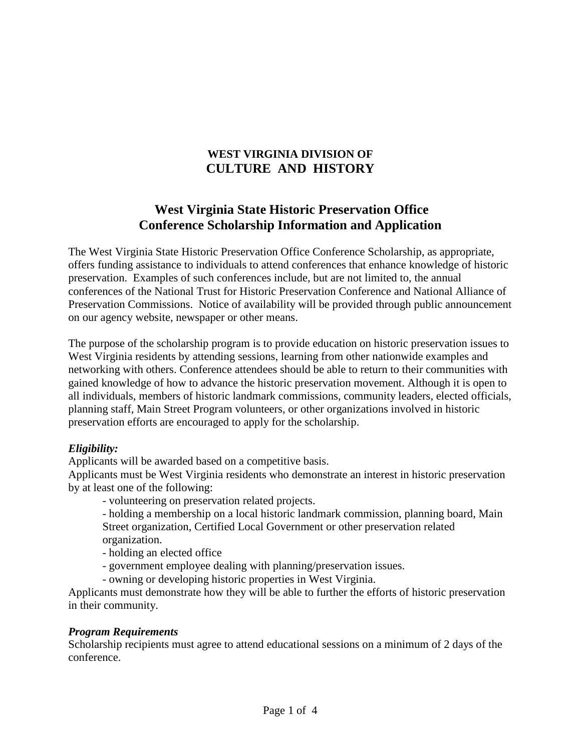## **WEST VIRGINIA DIVISION OF CULTURE AND HISTORY**

## **West Virginia State Historic Preservation Office Conference Scholarship Information and Application**

The West Virginia State Historic Preservation Office Conference Scholarship, as appropriate, offers funding assistance to individuals to attend conferences that enhance knowledge of historic preservation. Examples of such conferences include, but are not limited to, the annual conferences of the National Trust for Historic Preservation Conference and National Alliance of Preservation Commissions. Notice of availability will be provided through public announcement on our agency website, newspaper or other means.

The purpose of the scholarship program is to provide education on historic preservation issues to West Virginia residents by attending sessions, learning from other nationwide examples and networking with others. Conference attendees should be able to return to their communities with gained knowledge of how to advance the historic preservation movement. Although it is open to all individuals, members of historic landmark commissions, community leaders, elected officials, planning staff, Main Street Program volunteers, or other organizations involved in historic preservation efforts are encouraged to apply for the scholarship.

## *Eligibility:*

Applicants will be awarded based on a competitive basis.

Applicants must be West Virginia residents who demonstrate an interest in historic preservation by at least one of the following:

- volunteering on preservation related projects.

- holding a membership on a local historic landmark commission, planning board, Main Street organization, Certified Local Government or other preservation related organization.

- holding an elected office

- government employee dealing with planning/preservation issues.
- owning or developing historic properties in West Virginia.

Applicants must demonstrate how they will be able to further the efforts of historic preservation in their community.

## *Program Requirements*

Scholarship recipients must agree to attend educational sessions on a minimum of 2 days of the conference.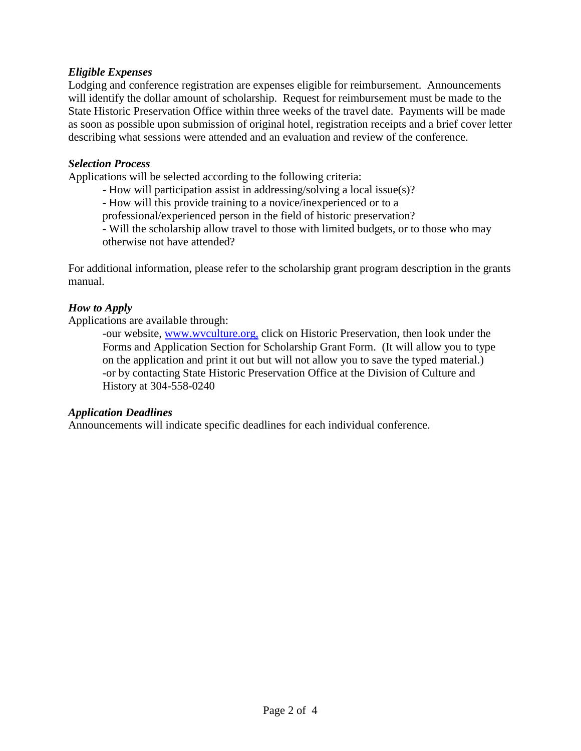## *Eligible Expenses*

Lodging and conference registration are expenses eligible for reimbursement. Announcements will identify the dollar amount of scholarship. Request for reimbursement must be made to the State Historic Preservation Office within three weeks of the travel date. Payments will be made as soon as possible upon submission of original hotel, registration receipts and a brief cover letter describing what sessions were attended and an evaluation and review of the conference.

#### *Selection Process*

Applications will be selected according to the following criteria:

- How will participation assist in addressing/solving a local issue(s)?

- How will this provide training to a novice/inexperienced or to a

professional/experienced person in the field of historic preservation?

- Will the scholarship allow travel to those with limited budgets, or to those who may otherwise not have attended?

For additional information, please refer to the scholarship grant program description in the grants manual.

#### *How to Apply*

Applications are available through:

-our website, www.wvculture.org, click on Historic Preservation, then look under the Forms and Application Section for Scholarship Grant Form. (It will allow you to type on the application and print it out but will not allow you to save the typed material.) -or by contacting State Historic Preservation Office at the Division of Culture and History at 304-558-0240

#### *Application Deadlines*

Announcements will indicate specific deadlines for each individual conference.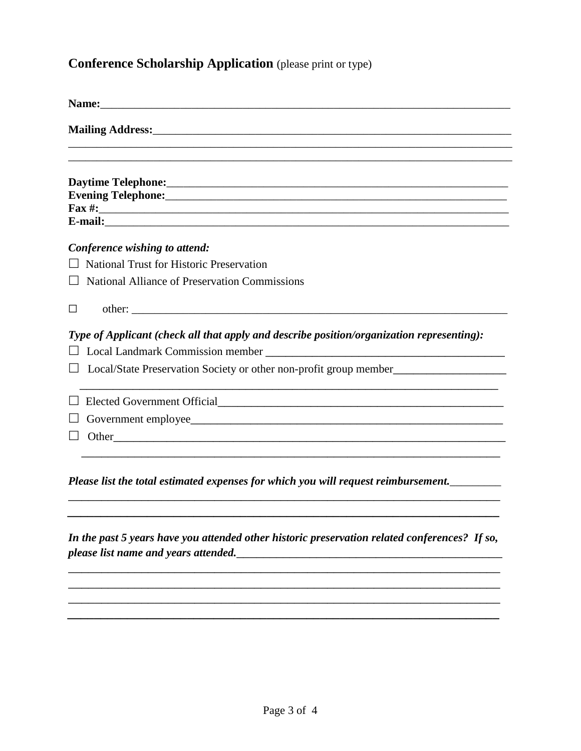# **Conference Scholarship Application** (please print or type)

|              | $\text{Fax}\#:\_$                                                                         |
|--------------|-------------------------------------------------------------------------------------------|
|              | E-mail:                                                                                   |
|              | Conference wishing to attend:                                                             |
|              | <b>National Trust for Historic Preservation</b>                                           |
|              | National Alliance of Preservation Commissions                                             |
| $\mathsf{L}$ |                                                                                           |
|              | Type of Applicant (check all that apply and describe position/organization representing): |
|              |                                                                                           |
|              | □ Local/State Preservation Society or other non-profit group member____________________   |
|              |                                                                                           |
|              |                                                                                           |
|              | $\Box$ Other                                                                              |
|              |                                                                                           |

*In the past 5 years have you attended other historic preservation related conferences? If so, please list name and years attended.\_\_\_\_\_\_\_\_\_\_\_\_\_\_\_\_\_\_\_\_\_\_\_\_\_\_\_\_\_\_\_\_\_\_\_\_\_\_\_\_*

\_\_\_\_\_\_\_\_\_\_\_\_\_\_\_\_\_\_\_\_\_\_\_\_\_\_\_\_\_\_\_\_\_\_\_\_\_\_\_\_\_\_\_\_\_\_\_\_\_\_\_\_\_\_\_\_\_\_\_\_\_\_\_\_\_ \_\_\_\_\_\_\_\_\_\_\_\_\_\_\_\_\_\_\_\_\_\_\_\_\_\_\_\_\_\_\_\_\_\_\_\_\_\_\_\_\_\_\_\_\_\_\_\_\_\_\_\_\_\_\_\_\_\_\_\_\_\_\_\_\_ \_\_\_\_\_\_\_\_\_\_\_\_\_\_\_\_\_\_\_\_\_\_\_\_\_\_\_\_\_\_\_\_\_\_\_\_\_\_\_\_\_\_\_\_\_\_\_\_\_\_\_\_\_\_\_\_\_\_\_\_\_\_\_\_\_ *\_\_\_\_\_\_\_\_\_\_\_\_\_\_\_\_\_\_\_\_\_\_\_\_\_\_\_\_\_\_\_\_\_\_\_\_\_\_\_\_\_\_\_\_\_\_\_\_\_\_\_\_\_\_\_\_\_\_\_\_\_\_\_\_\_*

\_\_\_\_\_\_\_\_\_\_\_\_\_\_\_\_\_\_\_\_\_\_\_\_\_\_\_\_\_\_\_\_\_\_\_\_\_\_\_\_\_\_\_\_\_\_\_\_\_\_\_\_\_\_\_\_\_\_\_\_\_\_\_\_\_ *\_\_\_\_\_\_\_\_\_\_\_\_\_\_\_\_\_\_\_\_\_\_\_\_\_\_\_\_\_\_\_\_\_\_\_\_\_\_\_\_\_\_\_\_\_\_\_\_\_\_\_\_\_\_\_\_\_\_\_\_\_\_\_\_\_*